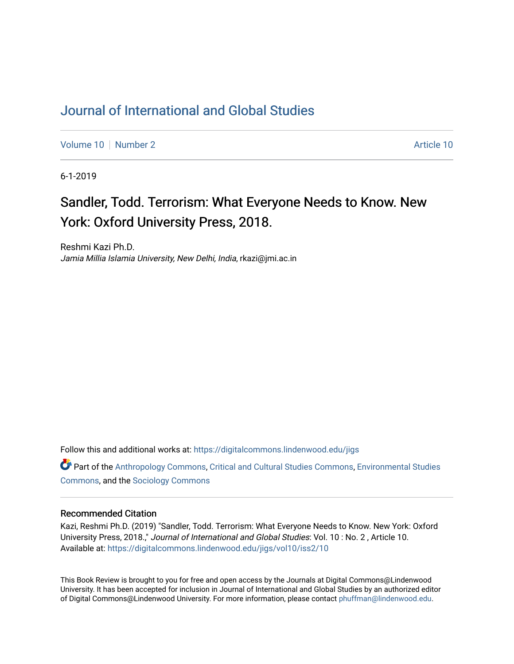## [Journal of International and Global Studies](https://digitalcommons.lindenwood.edu/jigs)

[Volume 10](https://digitalcommons.lindenwood.edu/jigs/vol10) [Number 2](https://digitalcommons.lindenwood.edu/jigs/vol10/iss2) Article 10

6-1-2019

# Sandler, Todd. Terrorism: What Everyone Needs to Know. New York: Oxford University Press, 2018.

Reshmi Kazi Ph.D. Jamia Millia Islamia University, New Delhi, India, rkazi@jmi.ac.in

Follow this and additional works at: [https://digitalcommons.lindenwood.edu/jigs](https://digitalcommons.lindenwood.edu/jigs?utm_source=digitalcommons.lindenwood.edu%2Fjigs%2Fvol10%2Fiss2%2F10&utm_medium=PDF&utm_campaign=PDFCoverPages) 

**C** Part of the [Anthropology Commons](http://network.bepress.com/hgg/discipline/318?utm_source=digitalcommons.lindenwood.edu%2Fjigs%2Fvol10%2Fiss2%2F10&utm_medium=PDF&utm_campaign=PDFCoverPages), [Critical and Cultural Studies Commons](http://network.bepress.com/hgg/discipline/328?utm_source=digitalcommons.lindenwood.edu%2Fjigs%2Fvol10%2Fiss2%2F10&utm_medium=PDF&utm_campaign=PDFCoverPages), Environmental Studies [Commons](http://network.bepress.com/hgg/discipline/1333?utm_source=digitalcommons.lindenwood.edu%2Fjigs%2Fvol10%2Fiss2%2F10&utm_medium=PDF&utm_campaign=PDFCoverPages), and the [Sociology Commons](http://network.bepress.com/hgg/discipline/416?utm_source=digitalcommons.lindenwood.edu%2Fjigs%2Fvol10%2Fiss2%2F10&utm_medium=PDF&utm_campaign=PDFCoverPages)

#### Recommended Citation

Kazi, Reshmi Ph.D. (2019) "Sandler, Todd. Terrorism: What Everyone Needs to Know. New York: Oxford University Press, 2018.," Journal of International and Global Studies: Vol. 10 : No. 2 , Article 10. Available at: [https://digitalcommons.lindenwood.edu/jigs/vol10/iss2/10](https://digitalcommons.lindenwood.edu/jigs/vol10/iss2/10?utm_source=digitalcommons.lindenwood.edu%2Fjigs%2Fvol10%2Fiss2%2F10&utm_medium=PDF&utm_campaign=PDFCoverPages) 

This Book Review is brought to you for free and open access by the Journals at Digital Commons@Lindenwood University. It has been accepted for inclusion in Journal of International and Global Studies by an authorized editor of Digital Commons@Lindenwood University. For more information, please contact [phuffman@lindenwood.edu](mailto:phuffman@lindenwood.edu).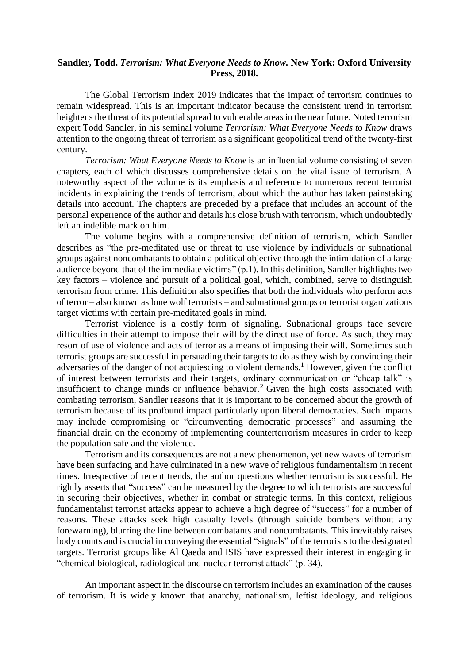### **Sandler, Todd.** *Terrorism: What Everyone Needs to Know.* **New York: Oxford University Press, 2018.**

The Global Terrorism Index 2019 indicates that the impact of terrorism continues to remain widespread. This is an important indicator because the consistent trend in terrorism heightens the threat of its potential spread to vulnerable areas in the near future. Noted terrorism expert Todd Sandler, in his seminal volume *Terrorism: What Everyone Needs to Know* draws attention to the ongoing threat of terrorism as a significant geopolitical trend of the twenty-first century.

*Terrorism: What Everyone Needs to Know* is an influential volume consisting of seven chapters, each of which discusses comprehensive details on the vital issue of terrorism. A noteworthy aspect of the volume is its emphasis and reference to numerous recent terrorist incidents in explaining the trends of terrorism, about which the author has taken painstaking details into account. The chapters are preceded by a preface that includes an account of the personal experience of the author and details his close brush with terrorism, which undoubtedly left an indelible mark on him.

The volume begins with a comprehensive definition of terrorism, which Sandler describes as "the pre-meditated use or threat to use violence by individuals or subnational groups against noncombatants to obtain a political objective through the intimidation of a large audience beyond that of the immediate victims" (p.1). In this definition, Sandler highlights two key factors – violence and pursuit of a political goal, which, combined, serve to distinguish terrorism from crime. This definition also specifies that both the individuals who perform acts of terror – also known as lone wolf terrorists – and subnational groups or terrorist organizations target victims with certain pre-meditated goals in mind.

Terrorist violence is a costly form of signaling. Subnational groups face severe difficulties in their attempt to impose their will by the direct use of force. As such, they may resort of use of violence and acts of terror as a means of imposing their will. Sometimes such terrorist groups are successful in persuading their targets to do as they wish by convincing their adversaries of the danger of not acquiescing to violent demands.<sup>1</sup> However, given the conflict of interest between terrorists and their targets, ordinary communication or "cheap talk" is insufficient to change minds or influence behavior.<sup>2</sup> Given the high costs associated with combating terrorism, Sandler reasons that it is important to be concerned about the growth of terrorism because of its profound impact particularly upon liberal democracies. Such impacts may include compromising or "circumventing democratic processes" and assuming the financial drain on the economy of implementing counterterrorism measures in order to keep the population safe and the violence.

Terrorism and its consequences are not a new phenomenon, yet new waves of terrorism have been surfacing and have culminated in a new wave of religious fundamentalism in recent times. Irrespective of recent trends, the author questions whether terrorism is successful. He rightly asserts that "success" can be measured by the degree to which terrorists are successful in securing their objectives, whether in combat or strategic terms. In this context, religious fundamentalist terrorist attacks appear to achieve a high degree of "success" for a number of reasons. These attacks seek high casualty levels (through suicide bombers without any forewarning), blurring the line between combatants and noncombatants. This inevitably raises body counts and is crucial in conveying the essential "signals" of the terrorists to the designated targets. Terrorist groups like Al Qaeda and ISIS have expressed their interest in engaging in "chemical biological, radiological and nuclear terrorist attack" (p. 34).

An important aspect in the discourse on terrorism includes an examination of the causes of terrorism. It is widely known that anarchy, nationalism, leftist ideology, and religious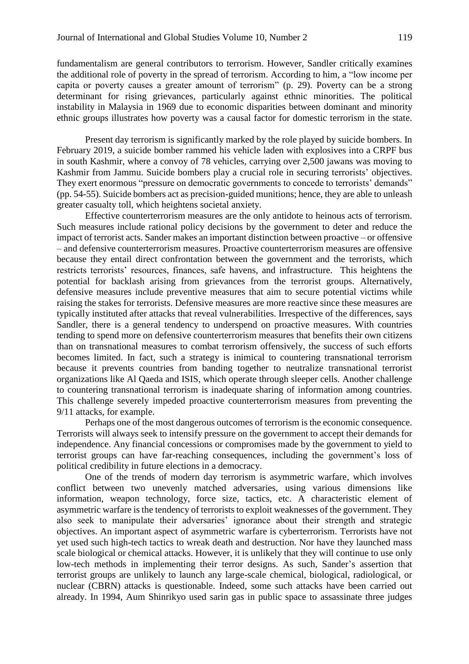fundamentalism are general contributors to terrorism. However, Sandler critically examines the additional role of poverty in the spread of terrorism. According to him, a "low income per capita or poverty causes a greater amount of terrorism" (p. 29). Poverty can be a strong determinant for rising grievances, particularly against ethnic minorities. The political instability in Malaysia in 1969 due to economic disparities between dominant and minority ethnic groups illustrates how poverty was a causal factor for domestic terrorism in the state.

Present day terrorism is significantly marked by the role played by suicide bombers. In February 2019, a suicide bomber rammed his vehicle laden with explosives into a CRPF bus in south Kashmir, where a convoy of 78 vehicles, carrying over 2,500 jawans was moving to Kashmir from Jammu. Suicide bombers play a crucial role in securing terrorists' objectives. They exert enormous "pressure on democratic governments to concede to terrorists' demands" (pp. 54-55). Suicide bombers act as precision-guided munitions; hence, they are able to unleash greater casualty toll, which heightens societal anxiety.

Effective counterterrorism measures are the only antidote to heinous acts of terrorism. Such measures include rational policy decisions by the government to deter and reduce the impact of terrorist acts. Sander makes an important distinction between proactive – or offensive – and defensive counterterrorism measures. Proactive counterterrorism measures are offensive because they entail direct confrontation between the government and the terrorists, which restricts terrorists' resources, finances, safe havens, and infrastructure. This heightens the potential for backlash arising from grievances from the terrorist groups. Alternatively, defensive measures include preventive measures that aim to secure potential victims while raising the stakes for terrorists. Defensive measures are more reactive since these measures are typically instituted after attacks that reveal vulnerabilities. Irrespective of the differences, says Sandler, there is a general tendency to underspend on proactive measures. With countries tending to spend more on defensive counterterrorism measures that benefits their own citizens than on transnational measures to combat terrorism offensively, the success of such efforts becomes limited. In fact, such a strategy is inimical to countering transnational terrorism because it prevents countries from banding together to neutralize transnational terrorist organizations like Al Qaeda and ISIS, which operate through sleeper cells. Another challenge to countering transnational terrorism is inadequate sharing of information among countries. This challenge severely impeded proactive counterterrorism measures from preventing the 9/11 attacks, for example.

Perhaps one of the most dangerous outcomes of terrorism is the economic consequence. Terrorists will always seek to intensify pressure on the government to accept their demands for independence. Any financial concessions or compromises made by the government to yield to terrorist groups can have far-reaching consequences, including the government's loss of political credibility in future elections in a democracy.

One of the trends of modern day terrorism is asymmetric warfare, which involves conflict between two unevenly matched adversaries, using various dimensions like information, weapon technology, force size, tactics, etc. A characteristic element of asymmetric warfare is the tendency of terrorists to exploit weaknesses of the government. They also seek to manipulate their adversaries' ignorance about their strength and strategic objectives. An important aspect of asymmetric warfare is cyberterrorism. Terrorists have not yet used such high-tech tactics to wreak death and destruction. Nor have they launched mass scale biological or chemical attacks. However, it is unlikely that they will continue to use only low-tech methods in implementing their terror designs. As such, Sander's assertion that terrorist groups are unlikely to launch any large-scale chemical, biological, radiological, or nuclear (CBRN) attacks is questionable. Indeed, some such attacks have been carried out already. In 1994, Aum Shinrikyo used sarin gas in public space to assassinate three judges